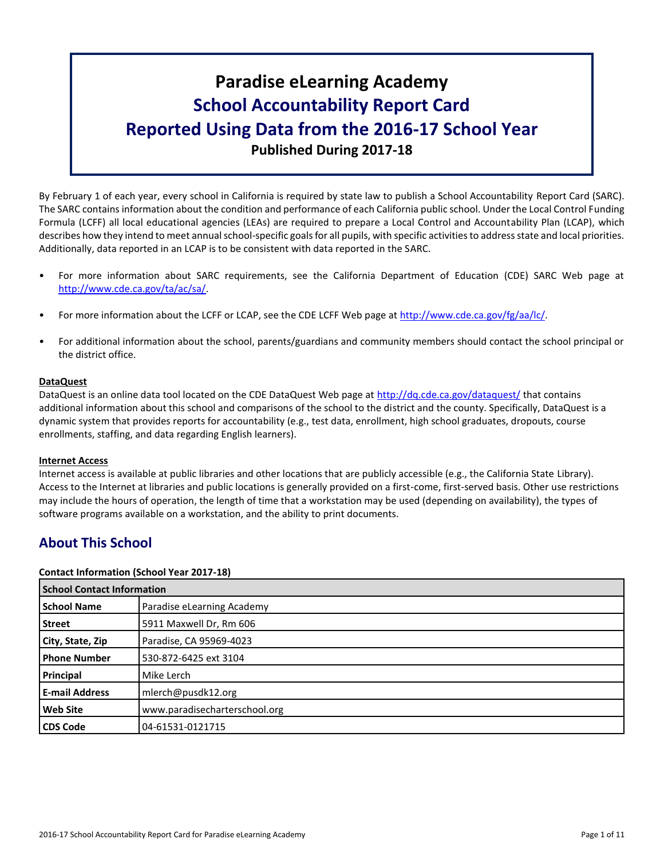# **Paradise eLearning Academy School Accountability Report Card Reported Using Data from the 2016-17 School Year Published During 2017-18**

By February 1 of each year, every school in California is required by state law to publish a School Accountability Report Card (SARC). The SARC contains information about the condition and performance of each California public school. Under the Local Control Funding Formula (LCFF) all local educational agencies (LEAs) are required to prepare a Local Control and Accountability Plan (LCAP), which describes how they intend to meet annual school-specific goals for all pupils, with specific activities to address state and local priorities. Additionally, data reported in an LCAP is to be consistent with data reported in the SARC.

- For more information about SARC requirements, see the California Department of Education (CDE) SARC Web page at [http://www.cde.ca.gov/ta/ac/sa/.](http://www.cde.ca.gov/ta/ac/sa/)
- For more information about the LCFF or LCAP, see the CDE LCFF Web page at [http://www.cde.ca.gov/fg/aa/lc/.](http://www.cde.ca.gov/fg/aa/lc/)
- For additional information about the school, parents/guardians and community members should contact the school principal or the district office.

#### **DataQuest**

DataQuest is an online data tool located on the CDE DataQuest Web page at<http://dq.cde.ca.gov/dataquest/> that contains additional information about this school and comparisons of the school to the district and the county. Specifically, DataQuest is a dynamic system that provides reports for accountability (e.g., test data, enrollment, high school graduates, dropouts, course enrollments, staffing, and data regarding English learners).

#### **Internet Access**

Internet access is available at public libraries and other locations that are publicly accessible (e.g., the California State Library). Access to the Internet at libraries and public locations is generally provided on a first-come, first-served basis. Other use restrictions may include the hours of operation, the length of time that a workstation may be used (depending on availability), the types of software programs available on a workstation, and the ability to print documents.

# **About This School**

#### **Contact Information (School Year 2017-18)**

| <b>School Contact Information</b> |                               |  |  |
|-----------------------------------|-------------------------------|--|--|
| <b>School Name</b>                | Paradise eLearning Academy    |  |  |
| Street                            | 5911 Maxwell Dr, Rm 606       |  |  |
| City, State, Zip                  | Paradise, CA 95969-4023       |  |  |
| <b>Phone Number</b>               | 530-872-6425 ext 3104         |  |  |
| Principal                         | Mike Lerch                    |  |  |
| <b>E-mail Address</b>             | mlerch@pusdk12.org            |  |  |
| <b>Web Site</b>                   | www.paradisecharterschool.org |  |  |
| <b>CDS Code</b>                   | 04-61531-0121715              |  |  |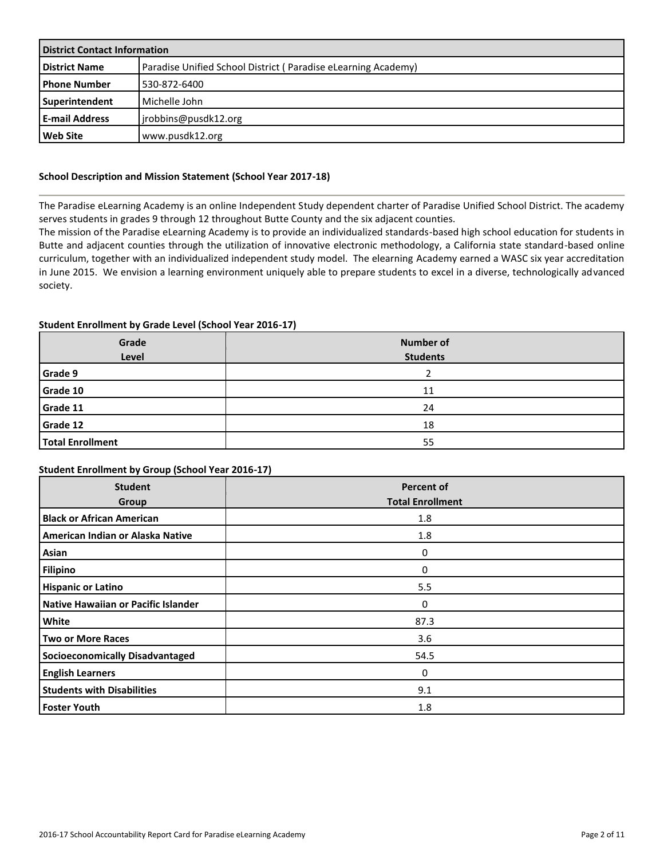| <b>District Contact Information</b> |                                                               |  |  |  |
|-------------------------------------|---------------------------------------------------------------|--|--|--|
| <b>District Name</b>                | Paradise Unified School District (Paradise eLearning Academy) |  |  |  |
| l Phone Number                      | 530-872-6400                                                  |  |  |  |
| Superintendent                      | Michelle John                                                 |  |  |  |
| <b>E-mail Address</b>               | jrobbins@pusdk12.org                                          |  |  |  |
| Web Site                            | www.pusdk12.org                                               |  |  |  |

#### **School Description and Mission Statement (School Year 2017-18)**

The Paradise eLearning Academy is an online Independent Study dependent charter of Paradise Unified School District. The academy serves students in grades 9 through 12 throughout Butte County and the six adjacent counties.

The mission of the Paradise eLearning Academy is to provide an individualized standards-based high school education for students in Butte and adjacent counties through the utilization of innovative electronic methodology, a California state standard-based online curriculum, together with an individualized independent study model. The elearning Academy earned a WASC six year accreditation in June 2015. We envision a learning environment uniquely able to prepare students to excel in a diverse, technologically advanced society.

#### **Student Enrollment by Grade Level (School Year 2016-17)**

| Grade<br>Level          | <b>Number of</b><br><b>Students</b> |
|-------------------------|-------------------------------------|
| Grade 9                 |                                     |
| Grade 10                | 11                                  |
| Grade 11                | 24                                  |
| Grade 12                | 18                                  |
| <b>Total Enrollment</b> | 55                                  |

#### **Student Enrollment by Group (School Year 2016-17)**

| <b>Student</b><br>Group                | <b>Percent of</b><br><b>Total Enrollment</b> |
|----------------------------------------|----------------------------------------------|
| <b>Black or African American</b>       | 1.8                                          |
| American Indian or Alaska Native       | 1.8                                          |
| Asian                                  | 0                                            |
| <b>Filipino</b>                        | 0                                            |
| <b>Hispanic or Latino</b>              | 5.5                                          |
| Native Hawaiian or Pacific Islander    | 0                                            |
| White                                  | 87.3                                         |
| <b>Two or More Races</b>               | 3.6                                          |
| <b>Socioeconomically Disadvantaged</b> | 54.5                                         |
| <b>English Learners</b>                | 0                                            |
| <b>Students with Disabilities</b>      | 9.1                                          |
| <b>Foster Youth</b>                    | 1.8                                          |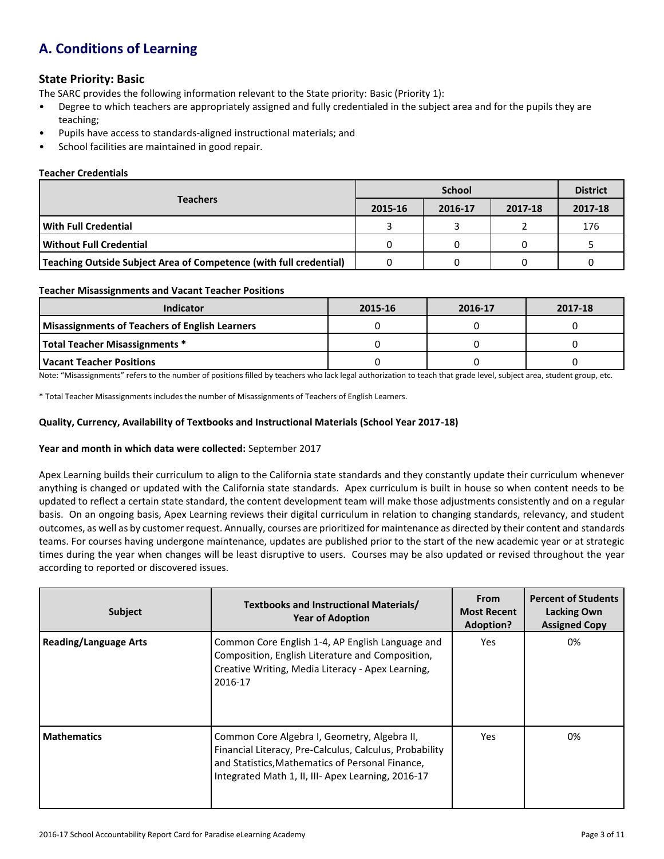# **A. Conditions of Learning**

### **State Priority: Basic**

The SARC provides the following information relevant to the State priority: Basic (Priority 1):

- Degree to which teachers are appropriately assigned and fully credentialed in the subject area and for the pupils they are teaching;
- Pupils have access to standards-aligned instructional materials; and
- School facilities are maintained in good repair.

#### **Teacher Credentials**

|                                                                    |         | <b>District</b> |         |         |
|--------------------------------------------------------------------|---------|-----------------|---------|---------|
| <b>Teachers</b>                                                    | 2015-16 | 2016-17         | 2017-18 | 2017-18 |
| With Full Credential                                               |         |                 |         | 176     |
| Without Full Credential                                            |         |                 |         |         |
| Teaching Outside Subject Area of Competence (with full credential) |         |                 |         |         |

#### **Teacher Misassignments and Vacant Teacher Positions**

| <b>Indicator</b>                                      | 2015-16 | 2016-17 | 2017-18 |
|-------------------------------------------------------|---------|---------|---------|
| <b>Misassignments of Teachers of English Learners</b> |         |         |         |
| <b>Total Teacher Misassignments *</b>                 |         |         |         |
| Vacant Teacher Positions                              |         |         |         |

Note: "Misassignments" refers to the number of positions filled by teachers who lack legal authorization to teach that grade level, subject area, student group, etc.

\* Total Teacher Misassignments includes the number of Misassignments of Teachers of English Learners.

#### **Quality, Currency, Availability of Textbooks and Instructional Materials (School Year 2017-18)**

#### **Year and month in which data were collected:** September 2017

Apex Learning builds their curriculum to align to the California state standards and they constantly update their curriculum whenever anything is changed or updated with the California state standards. Apex curriculum is built in house so when content needs to be updated to reflect a certain state standard, the content development team will make those adjustments consistently and on a regular basis. On an ongoing basis, Apex Learning reviews their digital curriculum in relation to changing standards, relevancy, and student outcomes, as well as by customer request. Annually, courses are prioritized for maintenance as directed by their content and standards teams. For courses having undergone maintenance, updates are published prior to the start of the new academic year or at strategic times during the year when changes will be least disruptive to users. Courses may be also updated or revised throughout the year according to reported or discovered issues.

| <b>Subject</b>               | Textbooks and Instructional Materials/<br><b>Year of Adoption</b>                                                                                                                                                 | <b>From</b><br><b>Most Recent</b><br>Adoption? | <b>Percent of Students</b><br><b>Lacking Own</b><br><b>Assigned Copy</b> |
|------------------------------|-------------------------------------------------------------------------------------------------------------------------------------------------------------------------------------------------------------------|------------------------------------------------|--------------------------------------------------------------------------|
| <b>Reading/Language Arts</b> | Common Core English 1-4, AP English Language and<br>Composition, English Literature and Composition,<br>Creative Writing, Media Literacy - Apex Learning,<br>2016-17                                              | Yes                                            | 0%                                                                       |
| <b>Mathematics</b>           | Common Core Algebra I, Geometry, Algebra II,<br>Financial Literacy, Pre-Calculus, Calculus, Probability<br>and Statistics, Mathematics of Personal Finance,<br>Integrated Math 1, II, III- Apex Learning, 2016-17 | Yes                                            | 0%                                                                       |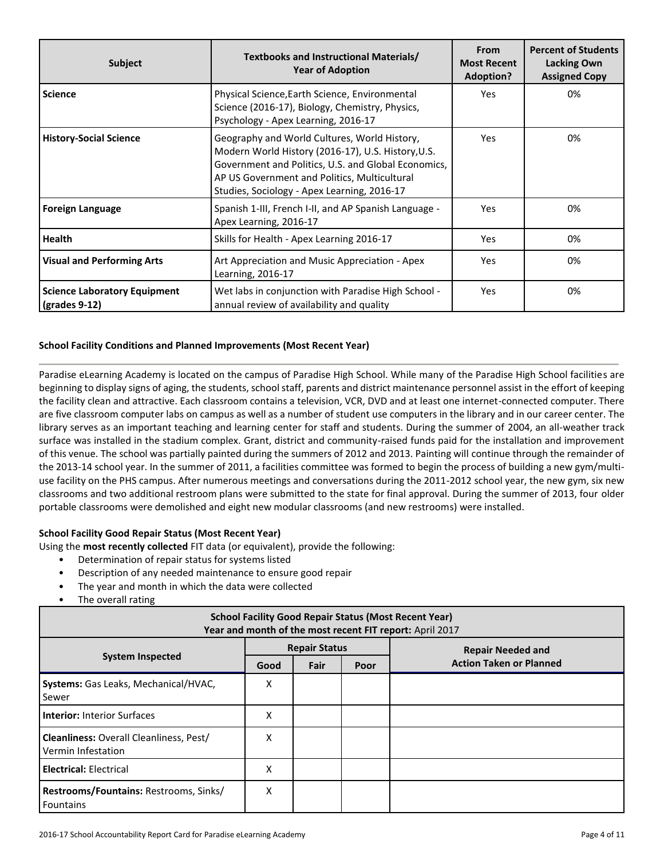| <b>Subject</b>                                       | Textbooks and Instructional Materials/<br><b>Year of Adoption</b>                                                                                                                                                                                        | From<br><b>Most Recent</b><br><b>Adoption?</b> | <b>Percent of Students</b><br>Lacking Own<br><b>Assigned Copy</b> |
|------------------------------------------------------|----------------------------------------------------------------------------------------------------------------------------------------------------------------------------------------------------------------------------------------------------------|------------------------------------------------|-------------------------------------------------------------------|
| <b>Science</b>                                       | Physical Science, Earth Science, Environmental<br>Science (2016-17), Biology, Chemistry, Physics,<br>Psychology - Apex Learning, 2016-17                                                                                                                 | <b>Yes</b>                                     | 0%                                                                |
| <b>History-Social Science</b>                        | Geography and World Cultures, World History,<br>Modern World History (2016-17), U.S. History, U.S.<br>Government and Politics, U.S. and Global Economics,<br>AP US Government and Politics, Multicultural<br>Studies, Sociology - Apex Learning, 2016-17 | <b>Yes</b>                                     | 0%                                                                |
| <b>Foreign Language</b>                              | Spanish 1-III, French I-II, and AP Spanish Language -<br>Apex Learning, 2016-17                                                                                                                                                                          | <b>Yes</b>                                     | 0%                                                                |
| <b>Health</b>                                        | Skills for Health - Apex Learning 2016-17                                                                                                                                                                                                                | Yes                                            | 0%                                                                |
| <b>Visual and Performing Arts</b>                    | Art Appreciation and Music Appreciation - Apex<br>Learning, 2016-17                                                                                                                                                                                      | <b>Yes</b>                                     | 0%                                                                |
| <b>Science Laboratory Equipment</b><br>(grades 9-12) | Wet labs in conjunction with Paradise High School -<br>annual review of availability and quality                                                                                                                                                         | <b>Yes</b>                                     | 0%                                                                |

#### **School Facility Conditions and Planned Improvements (Most Recent Year)**

Paradise eLearning Academy is located on the campus of Paradise High School. While many of the Paradise High School facilities are beginning to display signs of aging, the students, school staff, parents and district maintenance personnel assist in the effort of keeping the facility clean and attractive. Each classroom contains a television, VCR, DVD and at least one internet-connected computer. There are five classroom computer labs on campus as well as a number of student use computers in the library and in our career center. The library serves as an important teaching and learning center for staff and students. During the summer of 2004, an all-weather track surface was installed in the stadium complex. Grant, district and community-raised funds paid for the installation and improvement of this venue. The school was partially painted during the summers of 2012 and 2013. Painting will continue through the remainder of the 2013-14 school year. In the summer of 2011, a facilities committee was formed to begin the process of building a new gym/multiuse facility on the PHS campus. After numerous meetings and conversations during the 2011-2012 school year, the new gym, six new classrooms and two additional restroom plans were submitted to the state for final approval. During the summer of 2013, four older portable classrooms were demolished and eight new modular classrooms (and new restrooms) were installed.

#### **School Facility Good Repair Status (Most Recent Year)**

Using the **most recently collected** FIT data (or equivalent), provide the following:

- Determination of repair status for systems listed
- Description of any needed maintenance to ensure good repair
- The year and month in which the data were collected
- The overall rating

| <b>School Facility Good Repair Status (Most Recent Year)</b><br>Year and month of the most recent FIT report: April 2017 |                      |      |      |                                |  |  |  |
|--------------------------------------------------------------------------------------------------------------------------|----------------------|------|------|--------------------------------|--|--|--|
|                                                                                                                          | <b>Repair Status</b> |      |      | <b>Repair Needed and</b>       |  |  |  |
| <b>System Inspected</b>                                                                                                  | Good                 | Fair | Poor | <b>Action Taken or Planned</b> |  |  |  |
| Systems: Gas Leaks, Mechanical/HVAC,<br>Sewer                                                                            | Χ                    |      |      |                                |  |  |  |
| <b>Interior: Interior Surfaces</b>                                                                                       | Χ                    |      |      |                                |  |  |  |
| <b>Cleanliness: Overall Cleanliness, Pest/</b><br>Vermin Infestation                                                     | X                    |      |      |                                |  |  |  |
| <b>Electrical: Electrical</b>                                                                                            | X                    |      |      |                                |  |  |  |
| Restrooms/Fountains: Restrooms, Sinks/<br><b>Fountains</b>                                                               | X                    |      |      |                                |  |  |  |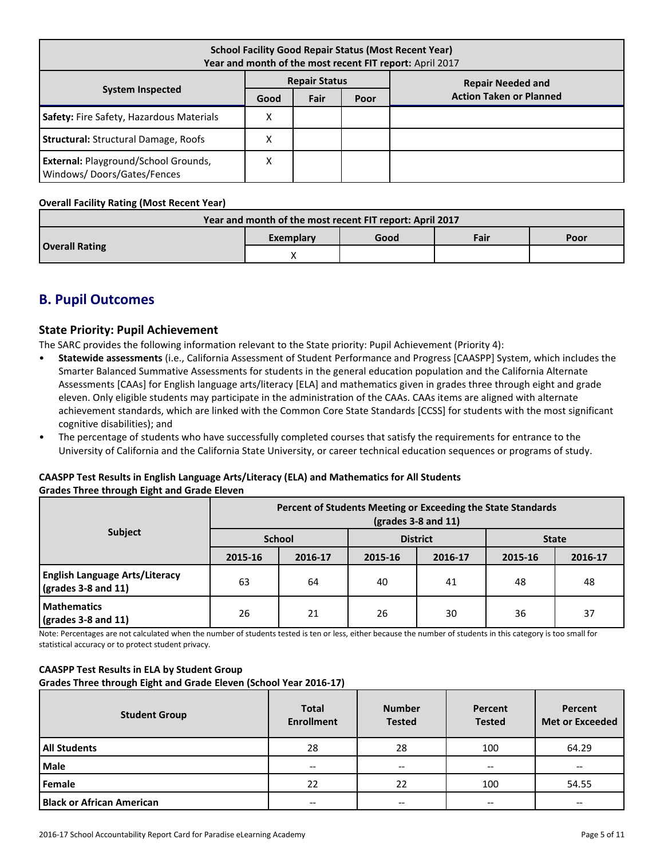| <b>School Facility Good Repair Status (Most Recent Year)</b><br>Year and month of the most recent FIT report: April 2017 |                      |      |      |                                |  |  |  |  |  |                          |
|--------------------------------------------------------------------------------------------------------------------------|----------------------|------|------|--------------------------------|--|--|--|--|--|--------------------------|
|                                                                                                                          | <b>Repair Status</b> |      |      |                                |  |  |  |  |  | <b>Repair Needed and</b> |
| <b>System Inspected</b>                                                                                                  | Good                 | Fair | Poor | <b>Action Taken or Planned</b> |  |  |  |  |  |                          |
| Safety: Fire Safety, Hazardous Materials                                                                                 | х                    |      |      |                                |  |  |  |  |  |                          |
| <b>Structural: Structural Damage, Roofs</b>                                                                              | х                    |      |      |                                |  |  |  |  |  |                          |
| <b>External: Playground/School Grounds,</b><br>Windows/Doors/Gates/Fences                                                | Χ                    |      |      |                                |  |  |  |  |  |                          |

#### **Overall Facility Rating (Most Recent Year)**

| Year and month of the most recent FIT report: April 2017 |                   |  |      |      |  |  |  |
|----------------------------------------------------------|-------------------|--|------|------|--|--|--|
|                                                          | Good<br>Exemplary |  | Fair | Poor |  |  |  |
| <b>Overall Rating</b>                                    |                   |  |      |      |  |  |  |

## **B. Pupil Outcomes**

#### **State Priority: Pupil Achievement**

The SARC provides the following information relevant to the State priority: Pupil Achievement (Priority 4):

- **Statewide assessments** (i.e., California Assessment of Student Performance and Progress [CAASPP] System, which includes the Smarter Balanced Summative Assessments for students in the general education population and the California Alternate Assessments [CAAs] for English language arts/literacy [ELA] and mathematics given in grades three through eight and grade eleven. Only eligible students may participate in the administration of the CAAs. CAAs items are aligned with alternate achievement standards, which are linked with the Common Core State Standards [CCSS] for students with the most significant cognitive disabilities); and
- The percentage of students who have successfully completed courses that satisfy the requirements for entrance to the University of California and the California State University, or career technical education sequences or programs of study.

#### **CAASPP Test Results in English Language Arts/Literacy (ELA) and Mathematics for All Students Grades Three through Eight and Grade Eleven**

|                                                                               | Percent of Students Meeting or Exceeding the State Standards<br>$\left(\text{grades }3 - 8 \text{ and } 11\right)$ |               |                 |         |              |         |  |
|-------------------------------------------------------------------------------|--------------------------------------------------------------------------------------------------------------------|---------------|-----------------|---------|--------------|---------|--|
| <b>Subject</b>                                                                |                                                                                                                    | <b>School</b> | <b>District</b> |         | <b>State</b> |         |  |
|                                                                               | 2015-16                                                                                                            | 2016-17       | 2015-16         | 2016-17 | 2015-16      | 2016-17 |  |
| <b>English Language Arts/Literacy</b><br>$\left($ grades 3-8 and 11 $\right)$ | 63                                                                                                                 | 64            | 40              | 41      | 48           | 48      |  |
| <b>Mathematics</b><br>$\frac{1}{2}$ (grades 3-8 and 11)                       | 26                                                                                                                 | 21            | 26              | 30      | 36           | 37      |  |

Note: Percentages are not calculated when the number of students tested is ten or less, either because the number of students in this category is too small for statistical accuracy or to protect student privacy.

#### **CAASPP Test Results in ELA by Student Group**

**Grades Three through Eight and Grade Eleven (School Year 2016-17)**

| <b>Student Group</b>             | <b>Total</b><br><b>Enrollment</b> | <b>Number</b><br><b>Tested</b>           | Percent<br><b>Tested</b> | Percent<br><b>Met or Exceeded</b> |
|----------------------------------|-----------------------------------|------------------------------------------|--------------------------|-----------------------------------|
| <b>All Students</b>              | 28                                | 28                                       | 100                      | 64.29                             |
| <b>Male</b>                      | $- -$                             | $\hspace{0.05cm} \ldots$                 | $- -$                    | --                                |
| Female                           | 22                                | 22                                       | 100                      | 54.55                             |
| <b>Black or African American</b> | --                                | $\hspace{0.05cm} \ldots \hspace{0.05cm}$ | $- -$                    | --                                |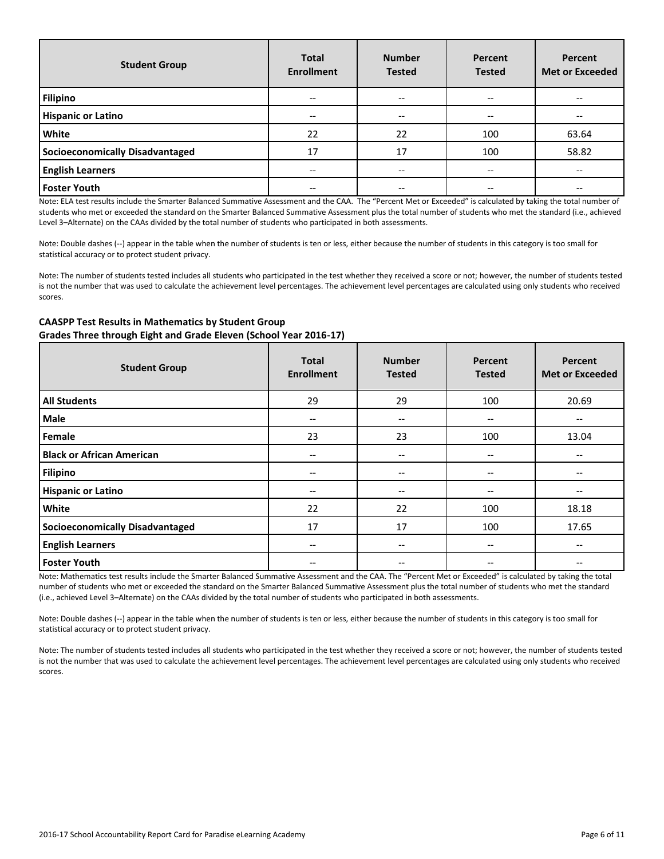| <b>Student Group</b>            | <b>Total</b><br><b>Enrollment</b> | <b>Number</b><br><b>Tested</b>        | Percent<br><b>Tested</b> | <b>Percent</b><br><b>Met or Exceeded</b> |  |
|---------------------------------|-----------------------------------|---------------------------------------|--------------------------|------------------------------------------|--|
| <b>Filipino</b>                 | --                                | $- -$                                 | --                       |                                          |  |
| <b>Hispanic or Latino</b>       | $- -$                             | $\hspace{0.05cm}$ – $\hspace{0.05cm}$ | --                       |                                          |  |
| <b>White</b>                    | 22                                | 22                                    | 100                      | 63.64                                    |  |
| Socioeconomically Disadvantaged | 17                                | 17                                    | 100                      | 58.82                                    |  |
| <b>English Learners</b>         | --                                | $\hspace{0.05cm}$ – $\hspace{0.05cm}$ | --                       | --                                       |  |
| <b>Foster Youth</b>             |                                   | --                                    | --                       |                                          |  |

Note: ELA test results include the Smarter Balanced Summative Assessment and the CAA. The "Percent Met or Exceeded" is calculated by taking the total number of students who met or exceeded the standard on the Smarter Balanced Summative Assessment plus the total number of students who met the standard (i.e., achieved Level 3–Alternate) on the CAAs divided by the total number of students who participated in both assessments.

Note: Double dashes (--) appear in the table when the number of students is ten or less, either because the number of students in this category is too small for statistical accuracy or to protect student privacy.

Note: The number of students tested includes all students who participated in the test whether they received a score or not; however, the number of students tested is not the number that was used to calculate the achievement level percentages. The achievement level percentages are calculated using only students who received scores.

#### **CAASPP Test Results in Mathematics by Student Group**

**Grades Three through Eight and Grade Eleven (School Year 2016-17)**

| <b>Student Group</b>                   | <b>Total</b><br><b>Enrollment</b> | <b>Number</b><br><b>Tested</b> | Percent<br><b>Tested</b> | Percent<br><b>Met or Exceeded</b> |
|----------------------------------------|-----------------------------------|--------------------------------|--------------------------|-----------------------------------|
| <b>All Students</b>                    | 29                                | 29                             | 100                      | 20.69                             |
| <b>Male</b>                            | $- -$                             | --                             | --                       | $- -$                             |
| Female                                 | 23                                | 23                             | 100                      | 13.04                             |
| <b>Black or African American</b>       | $\overline{\phantom{m}}$          | $\overline{\phantom{m}}$       | $-$                      | $- -$                             |
| Filipino                               | --                                | $\overline{\phantom{m}}$       | $\overline{\phantom{m}}$ | --                                |
| <b>Hispanic or Latino</b>              | $- -$                             | $\overline{\phantom{m}}$       | --                       | $- -$                             |
| White                                  | 22                                | 22                             | 100                      | 18.18                             |
| <b>Socioeconomically Disadvantaged</b> | 17                                | 17                             | 100                      | 17.65                             |
| <b>English Learners</b>                | $- -$                             | --                             | --                       | --                                |
| <b>Foster Youth</b>                    | --                                | --                             | --                       |                                   |

Note: Mathematics test results include the Smarter Balanced Summative Assessment and the CAA. The "Percent Met or Exceeded" is calculated by taking the total number of students who met or exceeded the standard on the Smarter Balanced Summative Assessment plus the total number of students who met the standard (i.e., achieved Level 3–Alternate) on the CAAs divided by the total number of students who participated in both assessments.

Note: Double dashes (--) appear in the table when the number of students is ten or less, either because the number of students in this category is too small for statistical accuracy or to protect student privacy.

Note: The number of students tested includes all students who participated in the test whether they received a score or not; however, the number of students tested is not the number that was used to calculate the achievement level percentages. The achievement level percentages are calculated using only students who received scores.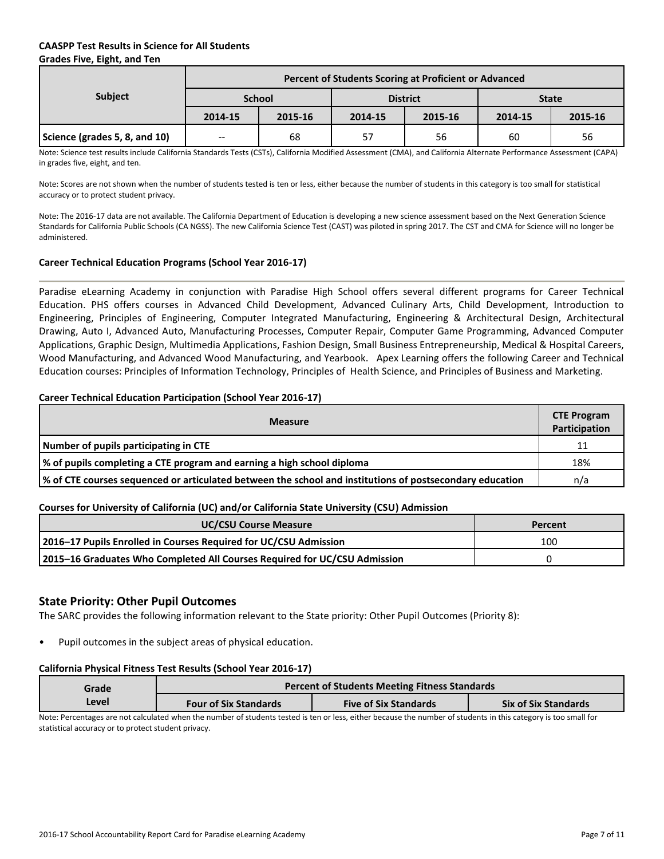#### **CAASPP Test Results in Science for All Students Grades Five, Eight, and Ten**

|                               | Percent of Students Scoring at Proficient or Advanced                  |         |    |    |              |    |  |  |  |
|-------------------------------|------------------------------------------------------------------------|---------|----|----|--------------|----|--|--|--|
| <b>Subject</b>                | <b>School</b>                                                          |         |    |    | <b>State</b> |    |  |  |  |
|                               | <b>District</b><br>2015-16<br>2014-15<br>2014-15<br>2015-16<br>2014-15 | 2015-16 |    |    |              |    |  |  |  |
| Science (grades 5, 8, and 10) | $-$                                                                    | 68      | 57 | 56 | 60           | 56 |  |  |  |

Note: Science test results include California Standards Tests (CSTs), California Modified Assessment (CMA), and California Alternate Performance Assessment (CAPA) in grades five, eight, and ten.

Note: Scores are not shown when the number of students tested is ten or less, either because the number of students in this category is too small for statistical accuracy or to protect student privacy.

Note: The 2016-17 data are not available. The California Department of Education is developing a new science assessment based on the Next Generation Science Standards for California Public Schools (CA NGSS). The new California Science Test (CAST) was piloted in spring 2017. The CST and CMA for Science will no longer be administered.

#### **Career Technical Education Programs (School Year 2016-17)**

Paradise eLearning Academy in conjunction with Paradise High School offers several different programs for Career Technical Education. PHS offers courses in Advanced Child Development, Advanced Culinary Arts, Child Development, Introduction to Engineering, Principles of Engineering, Computer Integrated Manufacturing, Engineering & Architectural Design, Architectural Drawing, Auto I, Advanced Auto, Manufacturing Processes, Computer Repair, Computer Game Programming, Advanced Computer Applications, Graphic Design, Multimedia Applications, Fashion Design, Small Business Entrepreneurship, Medical & Hospital Careers, Wood Manufacturing, and Advanced Wood Manufacturing, and Yearbook. Apex Learning offers the following Career and Technical Education courses: Principles of Information Technology, Principles of Health Science, and Principles of Business and Marketing.

#### **Career Technical Education Participation (School Year 2016-17)**

| <b>Measure</b>                                                                                           |     |  |  |  |  |
|----------------------------------------------------------------------------------------------------------|-----|--|--|--|--|
| Number of pupils participating in CTE                                                                    | 11  |  |  |  |  |
| % of pupils completing a CTE program and earning a high school diploma                                   |     |  |  |  |  |
| % of CTE courses sequenced or articulated between the school and institutions of postsecondary education | n/a |  |  |  |  |

#### **Courses for University of California (UC) and/or California State University (CSU) Admission**

| <b>UC/CSU Course Measure</b>                                              | Percent |
|---------------------------------------------------------------------------|---------|
| 2016-17 Pupils Enrolled in Courses Required for UC/CSU Admission          | 100     |
| 2015-16 Graduates Who Completed All Courses Required for UC/CSU Admission |         |

#### **State Priority: Other Pupil Outcomes**

The SARC provides the following information relevant to the State priority: Other Pupil Outcomes (Priority 8):

Pupil outcomes in the subject areas of physical education.

#### **California Physical Fitness Test Results (School Year 2016-17)**

| Grade |                              | <b>Percent of Students Meeting Fitness Standards</b> |                             |  |  |  |  |  |  |  |
|-------|------------------------------|------------------------------------------------------|-----------------------------|--|--|--|--|--|--|--|
| Level | <b>Four of Six Standards</b> | <b>Five of Six Standards</b>                         | <b>Six of Six Standards</b> |  |  |  |  |  |  |  |
| .     |                              |                                                      |                             |  |  |  |  |  |  |  |

Note: Percentages are not calculated when the number of students tested is ten or less, either because the number of students in this category is too small for statistical accuracy or to protect student privacy.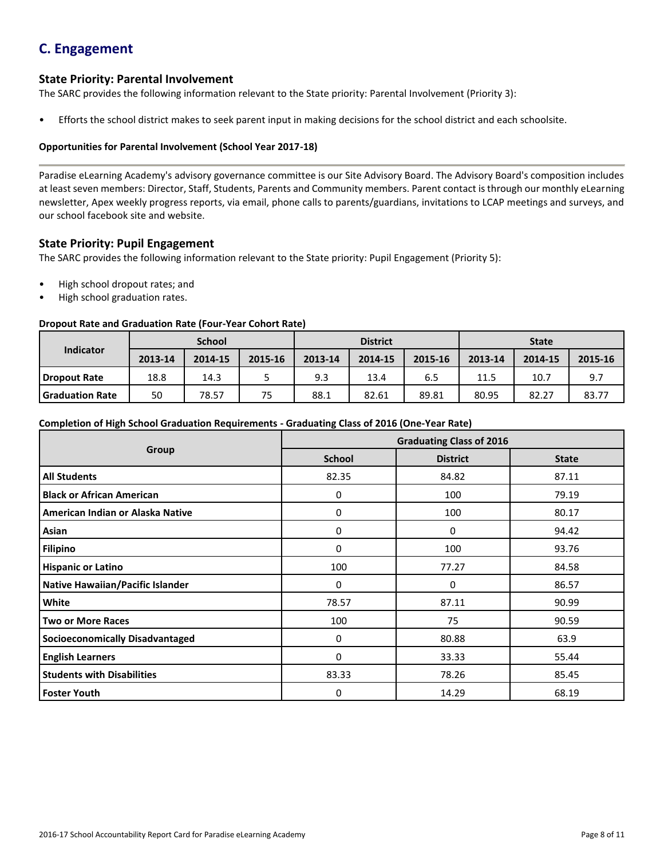# **C. Engagement**

### **State Priority: Parental Involvement**

The SARC provides the following information relevant to the State priority: Parental Involvement (Priority 3):

• Efforts the school district makes to seek parent input in making decisions for the school district and each schoolsite.

#### **Opportunities for Parental Involvement (School Year 2017-18)**

Paradise eLearning Academy's advisory governance committee is our Site Advisory Board. The Advisory Board's composition includes at least seven members: Director, Staff, Students, Parents and Community members. Parent contact is through our monthly eLearning newsletter, Apex weekly progress reports, via email, phone calls to parents/guardians, invitations to LCAP meetings and surveys, and our school facebook site and website.

### **State Priority: Pupil Engagement**

The SARC provides the following information relevant to the State priority: Pupil Engagement (Priority 5):

- High school dropout rates; and
- High school graduation rates.

#### **Dropout Rate and Graduation Rate (Four-Year Cohort Rate)**

|                        |         | <b>School</b> |         | <b>District</b> |         |         | <b>State</b> |         |         |
|------------------------|---------|---------------|---------|-----------------|---------|---------|--------------|---------|---------|
| Indicator              | 2013-14 | 2014-15       | 2015-16 | 2013-14         | 2014-15 | 2015-16 | 2013-14      | 2014-15 | 2015-16 |
| Dropout Rate           | 18.8    | 14.3          |         | 9.3             | 13.4    | 6.5     | 11.5         | 10.7    | 9.7     |
| <b>Graduation Rate</b> | 50      | 78.57         | 75      | 88.1            | 82.61   | 89.81   | 80.95        | 82.27   | 83.77   |

#### **Completion of High School Graduation Requirements - Graduating Class of 2016 (One-Year Rate)**

|                                         | <b>Graduating Class of 2016</b> |                 |              |  |  |  |  |
|-----------------------------------------|---------------------------------|-----------------|--------------|--|--|--|--|
| Group                                   | <b>School</b>                   | <b>District</b> | <b>State</b> |  |  |  |  |
| <b>All Students</b>                     | 82.35                           | 84.82           | 87.11        |  |  |  |  |
| <b>Black or African American</b>        | 0                               | 100             | 79.19        |  |  |  |  |
| American Indian or Alaska Native        | 0                               | 100             | 80.17        |  |  |  |  |
| Asian                                   | 0                               | 0               | 94.42        |  |  |  |  |
| <b>Filipino</b>                         | 0                               | 100             | 93.76        |  |  |  |  |
| <b>Hispanic or Latino</b>               | 100                             | 77.27           | 84.58        |  |  |  |  |
| <b>Native Hawaiian/Pacific Islander</b> | 0                               | 0               | 86.57        |  |  |  |  |
| White                                   | 78.57                           | 87.11           | 90.99        |  |  |  |  |
| <b>Two or More Races</b>                | 100                             | 75              | 90.59        |  |  |  |  |
| <b>Socioeconomically Disadvantaged</b>  | 0                               | 80.88           | 63.9         |  |  |  |  |
| <b>English Learners</b>                 | 0                               | 33.33           | 55.44        |  |  |  |  |
| <b>Students with Disabilities</b>       | 83.33                           | 78.26           | 85.45        |  |  |  |  |
| <b>Foster Youth</b>                     | 0                               | 14.29           | 68.19        |  |  |  |  |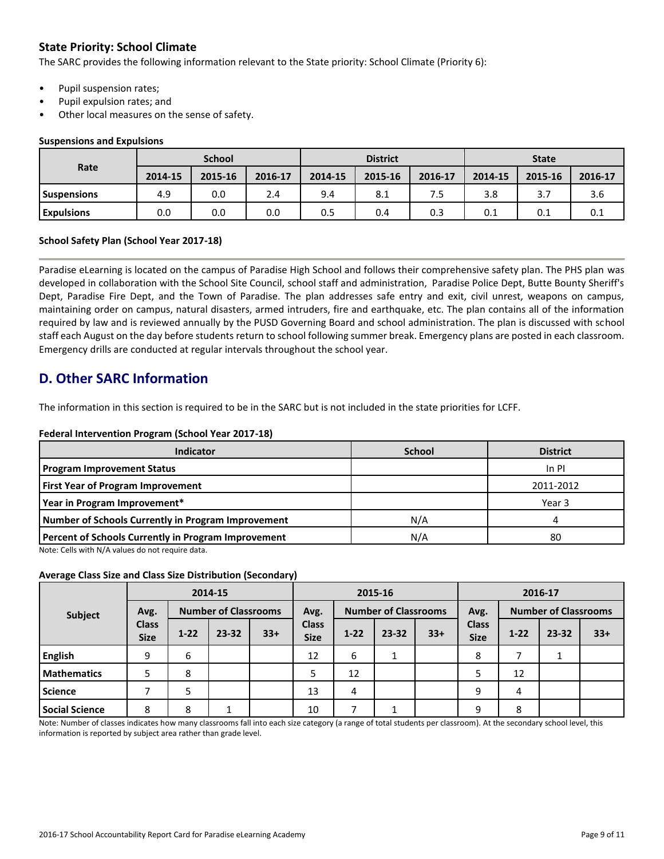### **State Priority: School Climate**

The SARC provides the following information relevant to the State priority: School Climate (Priority 6):

- Pupil suspension rates;
- Pupil expulsion rates; and
- Other local measures on the sense of safety.

#### **Suspensions and Expulsions**

|                    |         | <b>School</b> |         | <b>District</b> |         |         | <b>State</b> |         |         |
|--------------------|---------|---------------|---------|-----------------|---------|---------|--------------|---------|---------|
| Rate               | 2014-15 | 2015-16       | 2016-17 | 2014-15         | 2015-16 | 2016-17 | 2014-15      | 2015-16 | 2016-17 |
| <b>Suspensions</b> | 4.9     | 0.0           | 2.4     | 9.4             | 8.1     |         | 3.8          | 3.7     | 3.6     |
| <b>Expulsions</b>  | 0.0     | 0.0           | 0.0     | 0.5             | 0.4     | 0.3     | 0.1          | 0.1     | 0.1     |

#### **School Safety Plan (School Year 2017-18)**

Paradise eLearning is located on the campus of Paradise High School and follows their comprehensive safety plan. The PHS plan was developed in collaboration with the School Site Council, school staff and administration, Paradise Police Dept, Butte Bounty Sheriff's Dept, Paradise Fire Dept, and the Town of Paradise. The plan addresses safe entry and exit, civil unrest, weapons on campus, maintaining order on campus, natural disasters, armed intruders, fire and earthquake, etc. The plan contains all of the information required by law and is reviewed annually by the PUSD Governing Board and school administration. The plan is discussed with school staff each August on the day before students return to school following summer break. Emergency plans are posted in each classroom. Emergency drills are conducted at regular intervals throughout the school year.

# **D. Other SARC Information**

The information in this section is required to be in the SARC but is not included in the state priorities for LCFF.

#### **Federal Intervention Program (School Year 2017-18)**

| Indicator                                           | <b>School</b> | <b>District</b> |
|-----------------------------------------------------|---------------|-----------------|
| <b>Program Improvement Status</b>                   |               | In PI           |
| <b>First Year of Program Improvement</b>            |               | 2011-2012       |
| Year in Program Improvement*                        |               | Year 3          |
| Number of Schools Currently in Program Improvement  | N/A           | л               |
| Percent of Schools Currently in Program Improvement | N/A           | 80              |

Note: Cells with N/A values do not require data.

#### **Average Class Size and Class Size Distribution (Secondary)**

|                       |                             |          | 2014-15   |                             |                             |                                     | 2015-16   |       | 2016-17                     |          |                             |       |
|-----------------------|-----------------------------|----------|-----------|-----------------------------|-----------------------------|-------------------------------------|-----------|-------|-----------------------------|----------|-----------------------------|-------|
| Subject               | Avg.                        |          |           | <b>Number of Classrooms</b> |                             | <b>Number of Classrooms</b><br>Avg. |           |       | Avg.                        |          | <b>Number of Classrooms</b> |       |
|                       | <b>Class</b><br><b>Size</b> | $1 - 22$ | $23 - 32$ | $33+$                       | <b>Class</b><br><b>Size</b> | $1 - 22$                            | $23 - 32$ | $33+$ | <b>Class</b><br><b>Size</b> | $1 - 22$ | 23-32                       | $33+$ |
| <b>English</b>        | 9                           | 6        |           |                             | 12                          | 6                                   | ᅩ         |       | 8                           |          |                             |       |
| <b>Mathematics</b>    | 5                           | 8        |           |                             |                             | 12                                  |           |       | 5                           | 12       |                             |       |
| <b>Science</b>        |                             | כ        |           |                             | 13                          | 4                                   |           |       | 9                           | 4        |                             |       |
| <b>Social Science</b> | 8                           | 8        | ∸         |                             | 10                          |                                     |           |       | 9                           | 8        |                             |       |

Note: Number of classes indicates how many classrooms fall into each size category (a range of total students per classroom). At the secondary school level, this information is reported by subject area rather than grade level.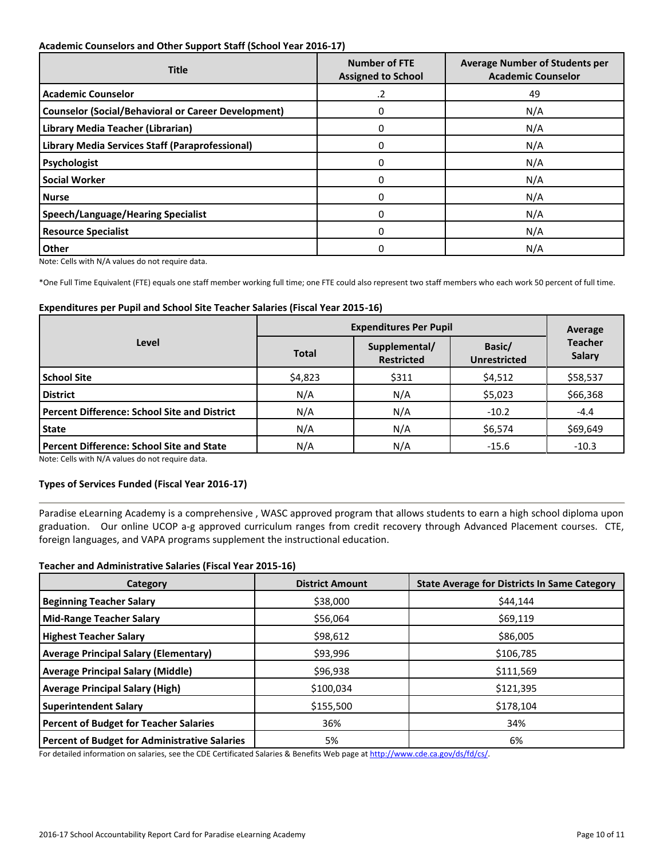#### **Academic Counselors and Other Support Staff (School Year 2016-17)**

| <b>Title</b>                                               | <b>Number of FTE</b><br><b>Assigned to School</b> | <b>Average Number of Students per</b><br><b>Academic Counselor</b> |
|------------------------------------------------------------|---------------------------------------------------|--------------------------------------------------------------------|
| <b>Academic Counselor</b>                                  | .2                                                | 49                                                                 |
| <b>Counselor (Social/Behavioral or Career Development)</b> | 0                                                 | N/A                                                                |
| Library Media Teacher (Librarian)                          | $\Omega$                                          | N/A                                                                |
| Library Media Services Staff (Paraprofessional)            | 0                                                 | N/A                                                                |
| Psychologist                                               | $\Omega$                                          | N/A                                                                |
| <b>Social Worker</b>                                       | 0                                                 | N/A                                                                |
| <b>Nurse</b>                                               | $\Omega$                                          | N/A                                                                |
| <b>Speech/Language/Hearing Specialist</b>                  | 0                                                 | N/A                                                                |
| <b>Resource Specialist</b>                                 | 0                                                 | N/A                                                                |
| <b>Other</b>                                               | 0                                                 | N/A                                                                |

Note: Cells with N/A values do not require data.

\*One Full Time Equivalent (FTE) equals one staff member working full time; one FTE could also represent two staff members who each work 50 percent of full time.

#### **Expenditures per Pupil and School Site Teacher Salaries (Fiscal Year 2015-16)**

|                                                     | <b>Expenditures Per Pupil</b> |                                    |                               | Average                         |
|-----------------------------------------------------|-------------------------------|------------------------------------|-------------------------------|---------------------------------|
| Level                                               | <b>Total</b>                  | Supplemental/<br><b>Restricted</b> | Basic/<br><b>Unrestricted</b> | <b>Teacher</b><br><b>Salary</b> |
| <b>School Site</b>                                  | \$4,823                       | \$311                              | \$4,512                       | \$58,537                        |
| <b>District</b>                                     | N/A                           | N/A                                | \$5,023                       | \$66,368                        |
| <b>Percent Difference: School Site and District</b> | N/A                           | N/A                                | $-10.2$                       | $-4.4$                          |
| <b>State</b>                                        | N/A                           | N/A                                | \$6,574                       | \$69,649                        |
| <b>Percent Difference: School Site and State</b>    | N/A                           | N/A                                | $-15.6$                       | $-10.3$                         |

Note: Cells with N/A values do not require data.

#### **Types of Services Funded (Fiscal Year 2016-17)**

Paradise eLearning Academy is a comprehensive , WASC approved program that allows students to earn a high school diploma upon graduation. Our online UCOP a-g approved curriculum ranges from credit recovery through Advanced Placement courses. CTE, foreign languages, and VAPA programs supplement the instructional education.

#### **Teacher and Administrative Salaries (Fiscal Year 2015-16)**

| Category                                      | <b>District Amount</b> | <b>State Average for Districts In Same Category</b> |
|-----------------------------------------------|------------------------|-----------------------------------------------------|
| <b>Beginning Teacher Salary</b>               | \$38,000               | \$44.144                                            |
| Mid-Range Teacher Salary                      | \$56,064               | \$69,119                                            |
| <b>Highest Teacher Salary</b>                 | \$98,612               | \$86,005                                            |
| <b>Average Principal Salary (Elementary)</b>  | \$93,996               | \$106,785                                           |
| <b>Average Principal Salary (Middle)</b>      | \$96,938               | \$111,569                                           |
| <b>Average Principal Salary (High)</b>        | \$100,034              | \$121,395                                           |
| <b>Superintendent Salary</b>                  | \$155,500              | \$178,104                                           |
| <b>Percent of Budget for Teacher Salaries</b> | 36%                    | 34%                                                 |
| Percent of Budget for Administrative Salaries | 5%                     | 6%                                                  |

For detailed information on salaries, see the CDE Certificated Salaries & Benefits Web page a[t http://www.cde.ca.gov/ds/fd/cs/.](http://www.cde.ca.gov/ds/fd/cs/)